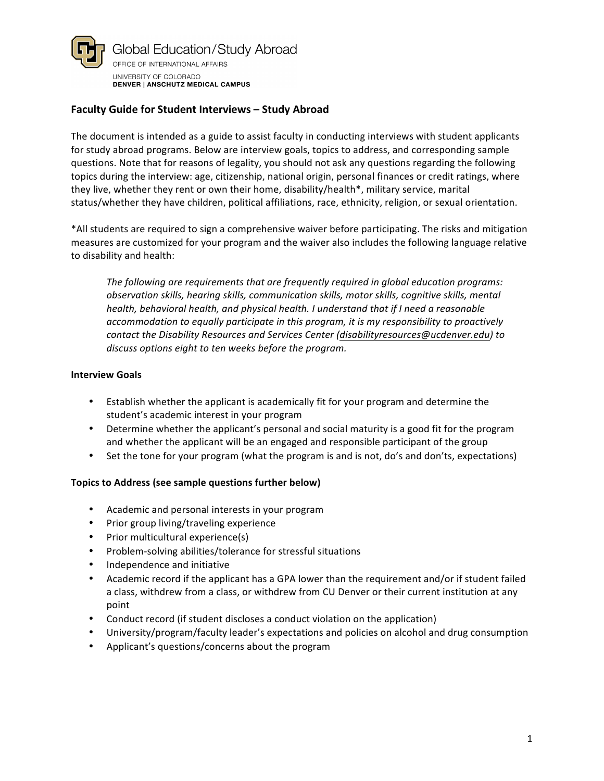

# **Faculty Guide for Student Interviews - Study Abroad**

The document is intended as a guide to assist faculty in conducting interviews with student applicants for study abroad programs. Below are interview goals, topics to address, and corresponding sample questions. Note that for reasons of legality, you should not ask any questions regarding the following topics during the interview: age, citizenship, national origin, personal finances or credit ratings, where they live, whether they rent or own their home, disability/health\*, military service, marital status/whether they have children, political affiliations, race, ethnicity, religion, or sexual orientation.

\*All students are required to sign a comprehensive waiver before participating. The risks and mitigation measures are customized for your program and the waiver also includes the following language relative to disability and health:

The following are requirements that are frequently required in global education programs: *observation skills, hearing skills, communication skills, motor skills, cognitive skills, mental health, behavioral health, and physical health. I understand that if I need a reasonable accommodation to equally participate in this program, it is my responsibility to proactively* contact the Disability Resources and Services Center (disabilityresources@ucdenver.edu) to discuss options eight to ten weeks before the program.

#### **Interview Goals**

- Establish whether the applicant is academically fit for your program and determine the student's academic interest in your program
- Determine whether the applicant's personal and social maturity is a good fit for the program and whether the applicant will be an engaged and responsible participant of the group
- Set the tone for your program (what the program is and is not, do's and don'ts, expectations)

### **Topics to Address (see sample questions further below)**

- Academic and personal interests in your program
- Prior group living/traveling experience
- Prior multicultural experience(s)
- Problem-solving abilities/tolerance for stressful situations
- Independence and initiative
- Academic record if the applicant has a GPA lower than the requirement and/or if student failed a class, withdrew from a class, or withdrew from CU Denver or their current institution at any point
- Conduct record (if student discloses a conduct violation on the application)
- University/program/faculty leader's expectations and policies on alcohol and drug consumption
- Applicant's questions/concerns about the program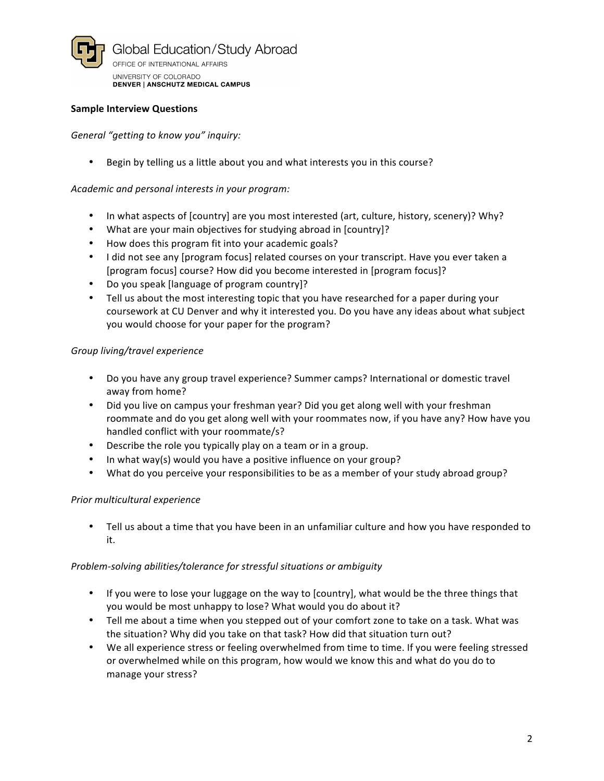

### **Sample Interview Questions**

General "getting to know you" inquiry:

Begin by telling us a little about you and what interests you in this course?

### Academic and personal interests in your program:

- In what aspects of [country] are you most interested (art, culture, history, scenery)? Why?
- What are your main objectives for studying abroad in [country]?
- How does this program fit into your academic goals?
- I did not see any [program focus] related courses on your transcript. Have you ever taken a [program focus] course? How did you become interested in [program focus]?
- Do you speak [language of program country]?
- Tell us about the most interesting topic that you have researched for a paper during your coursework at CU Denver and why it interested you. Do you have any ideas about what subject you would choose for your paper for the program?

# *Group living/travel experience*

- Do you have any group travel experience? Summer camps? International or domestic travel away from home?
- Did you live on campus your freshman year? Did you get along well with your freshman roommate and do you get along well with your roommates now, if you have any? How have you handled conflict with your roommate/s?
- Describe the role you typically play on a team or in a group.
- In what way(s) would you have a positive influence on your group?
- What do you perceive your responsibilities to be as a member of your study abroad group?

### *Prior multicultural experience*

• Tell us about a time that you have been in an unfamiliar culture and how you have responded to it.

### *Problem-solving abilities/tolerance for stressful situations or ambiguity*

- If you were to lose your luggage on the way to [country], what would be the three things that you would be most unhappy to lose? What would you do about it?
- Tell me about a time when you stepped out of your comfort zone to take on a task. What was the situation? Why did you take on that task? How did that situation turn out?
- We all experience stress or feeling overwhelmed from time to time. If you were feeling stressed or overwhelmed while on this program, how would we know this and what do you do to manage your stress?